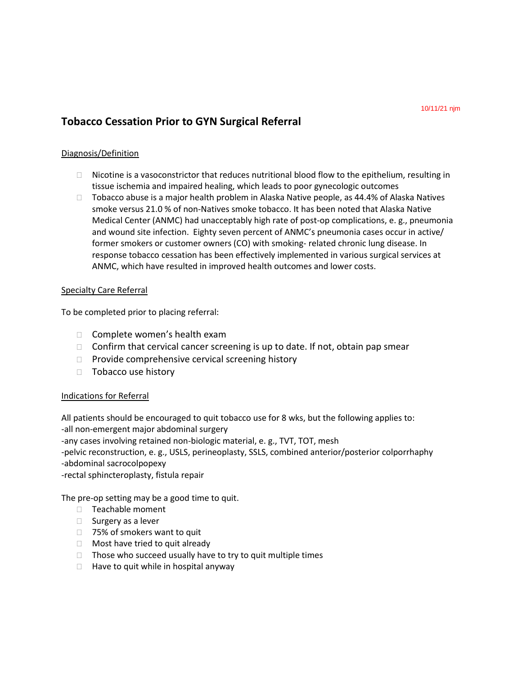# **Tobacco Cessation Prior to GYN Surgical Referral**

## Diagnosis/Definition

- $\Box$  Nicotine is a vasoconstrictor that reduces nutritional blood flow to the epithelium, resulting in tissue ischemia and impaired healing, which leads to poor gynecologic outcomes
- $\Box$  Tobacco abuse is a major health problem in Alaska Native people, as 44.4% of Alaska Natives smoke versus 21.0 % of non-Natives smoke tobacco. It has been noted that Alaska Native Medical Center (ANMC) had unacceptably high rate of post-op complications, e. g., pneumonia and wound site infection. Eighty seven percent of ANMC's pneumonia cases occur in active/ former smokers or customer owners (CO) with smoking- related chronic lung disease. In response tobacco cessation has been effectively implemented in various surgical services at ANMC, which have resulted in improved health outcomes and lower costs.

## Specialty Care Referral

To be completed prior to placing referral:

- $\Box$  Complete women's health exam
- $\Box$  Confirm that cervical cancer screening is up to date. If not, obtain pap smear
- $\Box$  Provide comprehensive cervical screening history
- $\Box$  Tobacco use history

## Indications for Referral

All patients should be encouraged to quit tobacco use for 8 wks, but the following applies to: -all non-emergent major abdominal surgery -any cases involving retained non-biologic material, e. g., TVT, TOT, mesh -pelvic reconstruction, e. g., USLS, perineoplasty, SSLS, combined anterior/posterior colporrhaphy -abdominal sacrocolpopexy -rectal sphincteroplasty, fistula repair

The pre-op setting may be a good time to quit.

- □ Teachable moment
- $\Box$  Surgery as a lever
- □ 75% of smokers want to quit
- $\Box$  Most have tried to quit already
- $\Box$  Those who succeed usually have to try to quit multiple times
- $\Box$  Have to quit while in hospital anyway